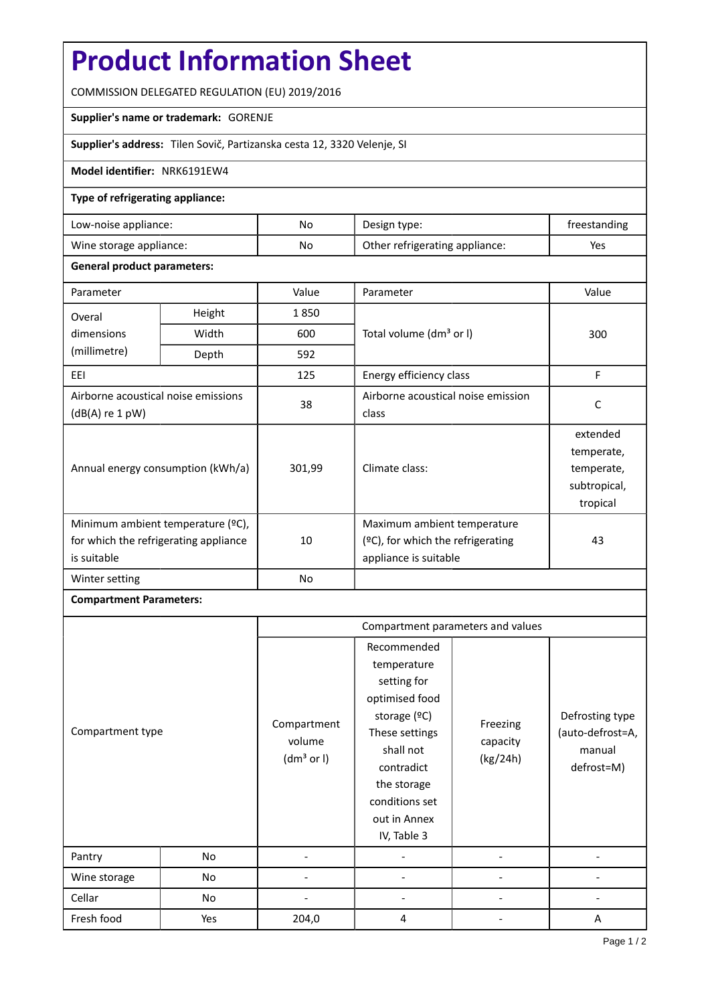# **Product Information Sheet**

COMMISSION DELEGATED REGULATION (EU) 2019/2016

#### **Supplier's name or trademark:** GORENJE

**Supplier's address:** Tilen Sovič, Partizanska cesta 12, 3320 Velenje, SI

### **Model identifier:** NRK6191EW4

### **Type of refrigerating appliance:**

| Low-noise appliance:    | No  | Design type:                   | treestanding |
|-------------------------|-----|--------------------------------|--------------|
| Wine storage appliance: | No. | Other refrigerating appliance: | Yes          |

### **General product parameters:**

| Parameter                                                                                 |       | Value  | Parameter                                                                                    | Value                                                            |
|-------------------------------------------------------------------------------------------|-------|--------|----------------------------------------------------------------------------------------------|------------------------------------------------------------------|
| Height<br>Overal                                                                          |       | 1850   |                                                                                              |                                                                  |
| dimensions                                                                                | Width | 600    | Total volume (dm <sup>3</sup> or I)                                                          | 300                                                              |
| (millimetre)                                                                              | Depth | 592    |                                                                                              |                                                                  |
| EEI                                                                                       |       | 125    | Energy efficiency class                                                                      | F                                                                |
| Airborne acoustical noise emissions<br>$(dB(A)$ re 1 pW)                                  |       | 38     | Airborne acoustical noise emission<br>class                                                  | C                                                                |
| Annual energy consumption (kWh/a)                                                         |       | 301,99 | Climate class:                                                                               | extended<br>temperate,<br>temperate,<br>subtropical,<br>tropical |
| Minimum ambient temperature (°C),<br>for which the refrigerating appliance<br>is suitable |       | 10     | Maximum ambient temperature<br>$(2C)$ , for which the refrigerating<br>appliance is suitable | 43                                                               |
| Winter setting                                                                            |       | No     |                                                                                              |                                                                  |

## **Compartment Parameters:**

|                  |     | Compartment parameters and values               |                                                                                                                                                                                          |                                  |                                                             |
|------------------|-----|-------------------------------------------------|------------------------------------------------------------------------------------------------------------------------------------------------------------------------------------------|----------------------------------|-------------------------------------------------------------|
| Compartment type |     | Compartment<br>volume<br>(dm <sup>3</sup> or I) | Recommended<br>temperature<br>setting for<br>optimised food<br>storage (ºC)<br>These settings<br>shall not<br>contradict<br>the storage<br>conditions set<br>out in Annex<br>IV, Table 3 | Freezing<br>capacity<br>(kg/24h) | Defrosting type<br>(auto-defrost=A,<br>manual<br>defrost=M) |
| Pantry           | No  |                                                 |                                                                                                                                                                                          |                                  |                                                             |
| Wine storage     | No  |                                                 |                                                                                                                                                                                          |                                  |                                                             |
| Cellar           | No  |                                                 |                                                                                                                                                                                          |                                  |                                                             |
| Fresh food       | Yes | 204,0                                           | 4                                                                                                                                                                                        |                                  | A                                                           |